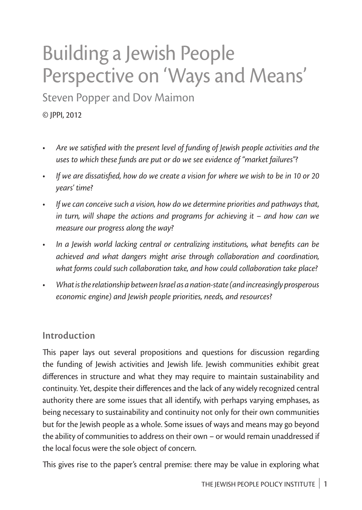# Building a Jewish People Perspective on 'Ways and Means'

Steven Popper and Dov Maimon

© JPPI, 2012

- Are we satisfied with the present level of funding of Jewish people activities and the *uses to which these funds are put or do we see evidence of "market failures"?*
- If we are dissatisfied, how do we create a vision for where we wish to be in 10 or 20 *years' time?*
- If we can conceive such a vision, how do we determine priorities and pathways that, *in turn, will shape the actions and programs for achieving it – and how can we measure our progress along the way?*
- In a Jewish world lacking central or centralizing institutions, what benefits can be *achieved and what dangers might arise through collaboration and coordination, what forms could such collaboration take, and how could collaboration take place?*
- • *What is the relationship between Israel as a nation-state (and increasingly prosperous economic engine) and Jewish people priorities, needs, and resources?*

## **Introduction**

This paper lays out several propositions and questions for discussion regarding the funding of Jewish activities and Jewish life. Jewish communities exhibit great differences in structure and what they may require to maintain sustainability and continuity. Yet, despite their differences and the lack of any widely recognized central authority there are some issues that all identify, with perhaps varying emphases, as being necessary to sustainability and continuity not only for their own communities but for the Jewish people as a whole. Some issues of ways and means may go beyond the ability of communities to address on their own – or would remain unaddressed if the local focus were the sole object of concern.

This gives rise to the paper's central premise: there may be value in exploring what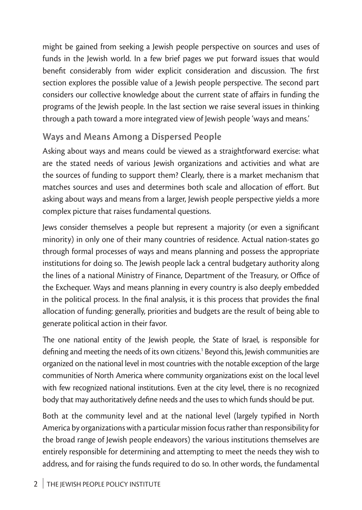might be gained from seeking a Jewish people perspective on sources and uses of funds in the Jewish world. In a few brief pages we put forward issues that would benefit considerably from wider explicit consideration and discussion. The first section explores the possible value of a Jewish people perspective. The second part considers our collective knowledge about the current state of affairs in funding the programs of the Jewish people. In the last section we raise several issues in thinking through a path toward a more integrated view of Jewish people 'ways and means.'

# **Ways and Means Among a Dispersed People**

Asking about ways and means could be viewed as a straightforward exercise: what are the stated needs of various Jewish organizations and activities and what are the sources of funding to support them? Clearly, there is a market mechanism that matches sources and uses and determines both scale and allocation of effort. But asking about ways and means from a larger, Jewish people perspective yields a more complex picture that raises fundamental questions.

Jews consider themselves a people but represent a majority (or even a significant minority) in only one of their many countries of residence. Actual nation-states go through formal processes of ways and means planning and possess the appropriate institutions for doing so. The Jewish people lack a central budgetary authority along the lines of a national Ministry of Finance, Department of the Treasury, or Office of the Exchequer. Ways and means planning in every country is also deeply embedded in the political process. In the final analysis, it is this process that provides the final allocation of funding: generally, priorities and budgets are the result of being able to generate political action in their favor.

The one national entity of the Jewish people, the State of Israel, is responsible for defining and meeting the needs of its own citizens.<sup>1</sup> Beyond this, Jewish communities are organized on the national level in most countries with the notable exception of the large communities of North America where community organizations exist on the local level with few recognized national institutions. Even at the city level, there is no recognized body that may authoritatively define needs and the uses to which funds should be put.

Both at the community level and at the national level (largely typified in North America by organizations with a particular mission focus rather than responsibility for the broad range of Jewish people endeavors) the various institutions themselves are entirely responsible for determining and attempting to meet the needs they wish to address, and for raising the funds required to do so. In other words, the fundamental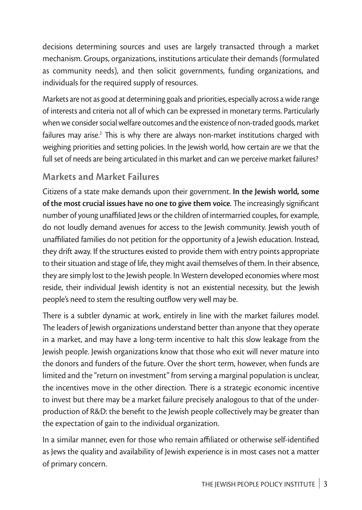decisions determining sources and uses are largely transacted through a market mechanism. Groups, organizations, institutions articulate their demands (formulated as community needs), and then solicit governments, funding organizations, and individuals for the required supply of resources.

Markets are not as good at determining goals and priorities, especially across a wide range of interests and criteria not all of which can be expressed in monetary terms. Particularly when we consider social welfare outcomes and the existence of non-traded goods, market failures may arise. $^2$  This is why there are always non-market institutions charged with weighing priorities and setting policies. In the Jewish world, how certain are we that the full set of needs are being articulated in this market and can we perceive market failures?

# **Markets and Market Failures**

Citizens of a state make demands upon their government. **In the Jewish world, some of the most crucial issues have no one to give them voice**. The increasingly significant number of young unaffiliated Jews or the children of intermarried couples, for example, do not loudly demand avenues for access to the Jewish community. Jewish youth of unaffiliated families do not petition for the opportunity of a Jewish education. Instead, they drift away. If the structures existed to provide them with entry points appropriate to their situation and stage of life, they might avail themselves of them. In their absence, they are simply lost to the Jewish people. In Western developed economies where most reside, their individual Jewish identity is not an existential necessity, but the Jewish people's need to stem the resulting outflow very well may be.

There is a subtler dynamic at work, entirely in line with the market failures model. The leaders of Jewish organizations understand better than anyone that they operate in a market, and may have a long-term incentive to halt this slow leakage from the Jewish people. Jewish organizations know that those who exit will never mature into the donors and funders of the future. Over the short term, however, when funds are limited and the "return on investment" from serving a marginal population is unclear, the incentives move in the other direction. There is a strategic economic incentive to invest but there may be a market failure precisely analogous to that of the underproduction of R&D: the benefit to the Jewish people collectively may be greater than the expectation of gain to the individual organization.

In a similar manner, even for those who remain affiliated or otherwise self-identified as Jews the quality and availability of Jewish experience is in most cases not a matter of primary concern.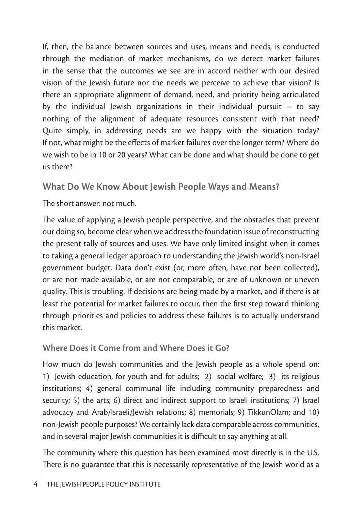If, then, the balance between sources and uses, means and needs, is conducted through the mediation of market mechanisms, do we detect market failures in the sense that the outcomes we see are in accord neither with our desired vision of the Jewish future nor the needs we perceive to achieve that vision? Is there an appropriate alignment of demand, need, and priority being articulated by the individual Jewish organizations in their individual pursuit – to say nothing of the alignment of adequate resources consistent with that need? Quite simply, in addressing needs are we happy with the situation today? If not, what might be the effects of market failures over the longer term? Where do we wish to be in 10 or 20 years? What can be done and what should be done to get us there?

# **What Do We Know About Jewish People Ways and Means?**

The short answer: not much.

The value of applying a Jewish people perspective, and the obstacles that prevent our doing so, become clear when we address the foundation issue of reconstructing the present tally of sources and uses. We have only limited insight when it comes to taking a general ledger approach to understanding the Jewish world's non-Israel government budget. Data don't exist (or, more often, have not been collected), or are not made available, or are not comparable, or are of unknown or uneven quality. This is troubling. If decisions are being made by a market, and if there is at least the potential for market failures to occur, then the first step toward thinking through priorities and policies to address these failures is to actually understand this market.

## **Where Does it Come from and Where Does it Go?**

How much do Jewish communities and the Jewish people as a whole spend on: 1) Jewish education, for youth and for adults; 2) social welfare; 3) its religious institutions; 4) general communal life including community preparedness and security; 5) the arts; 6) direct and indirect support to Israeli institutions; 7) Israel advocacy and Arab/Israeli/Jewish relations; 8) memorials; 9) TikkunOlam; and 10) non-Jewish people purposes? We certainly lack data comparable across communities, and in several major Jewish communities it is difficult to say anything at all.

The community where this question has been examined most directly is in the U.S. There is no guarantee that this is necessarily representative of the Jewish world as a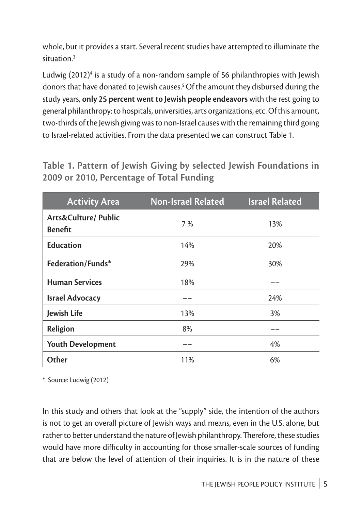whole, but it provides a start. Several recent studies have attempted to illuminate the situation.3

Ludwig (2012) $^{\circ}$  is a study of a non-random sample of 56 philanthropies with Jewish donors that have donated to Jewish causes.5 Of the amount they disbursed during the study years, **only 25 percent went to Jewish people endeavors** with the rest going to general philanthropy: to hospitals, universities, arts organizations, etc. Of this amount, two-thirds of the Jewish giving was to non-Israel causes with the remaining third going to Israel-related activities. From the data presented we can construct Table 1.

**Table 1. Pattern of Jewish Giving by selected Jewish Foundations in 2009 or 2010, Percentage of Total Funding**

| <b>Activity Area</b>                              | <b>Non-Israel Related</b> | <b>Israel Related</b> |
|---------------------------------------------------|---------------------------|-----------------------|
| <b>Arts&amp;Culture/ Public</b><br><b>Benefit</b> | 7%                        | 13%                   |
| <b>Education</b>                                  | 14%                       | 20%                   |
| Federation/Funds*                                 | 29%                       | 30%                   |
| <b>Human Services</b>                             | 18%                       |                       |
| <b>Israel Advocacy</b>                            |                           | 24%                   |
| Jewish Life                                       | 13%                       | 3%                    |
| Religion                                          | 8%                        |                       |
| <b>Youth Development</b>                          |                           | 4%                    |
| Other                                             | 11%                       | 6%                    |

\* Source: Ludwig (2012)

In this study and others that look at the "supply" side, the intention of the authors is not to get an overall picture of Jewish ways and means, even in the U.S. alone, but rather to better understand the nature of Jewish philanthropy. Therefore, these studies would have more difficulty in accounting for those smaller-scale sources of funding that are below the level of attention of their inquiries. It is in the nature of these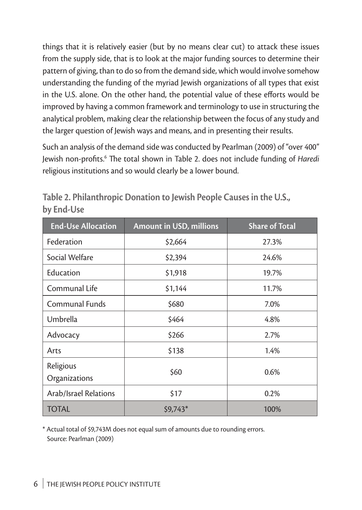things that it is relatively easier (but by no means clear cut) to attack these issues from the supply side, that is to look at the major funding sources to determine their pattern of giving, than to do so from the demand side, which would involve somehow understanding the funding of the myriad Jewish organizations of all types that exist in the U.S. alone. On the other hand, the potential value of these efforts would be improved by having a common framework and terminology to use in structuring the analytical problem, making clear the relationship between the focus of any study and the larger question of Jewish ways and means, and in presenting their results.

Such an analysis of the demand side was conducted by Pearlman (2009) of "over 400" Jewish non-profits.6 The total shown in Table 2. does not include funding of *Haredi* religious institutions and so would clearly be a lower bound.

| <b>End-Use Allocation</b>    | <b>Amount in USD, millions</b> | <b>Share of Total</b> |
|------------------------------|--------------------------------|-----------------------|
| Federation                   | \$2,664                        | 27.3%                 |
| Social Welfare               | \$2,394                        | 24.6%                 |
| Education                    | \$1,918                        | 19.7%                 |
| Communal Life                | \$1,144                        | 11.7%                 |
| <b>Communal Funds</b>        | \$680                          | 7.0%                  |
| Umbrella                     | \$464                          | 4.8%                  |
| Advocacy                     | \$266                          | 2.7%                  |
| Arts                         | \$138                          | 1.4%                  |
| Religious<br>Organizations   | \$60                           | 0.6%                  |
| <b>Arab/Israel Relations</b> | \$17                           | 0.2%                  |
| <b>TOTAL</b>                 | $$9,743$ *                     | 100%                  |

**Table 2. Philanthropic Donation to Jewish People Causes in the U.S., by End-Use**

\* Actual total of \$9,743M does not equal sum of amounts due to rounding errors. Source: Pearlman (2009)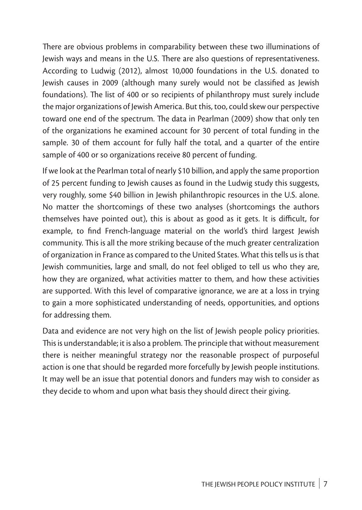There are obvious problems in comparability between these two illuminations of Jewish ways and means in the U.S. There are also questions of representativeness. According to Ludwig (2012), almost 10,000 foundations in the U.S. donated to Jewish causes in 2009 (although many surely would not be classified as Jewish foundations). The list of 400 or so recipients of philanthropy must surely include the major organizations of Jewish America. But this, too, could skew our perspective toward one end of the spectrum. The data in Pearlman (2009) show that only ten of the organizations he examined account for 30 percent of total funding in the sample. 30 of them account for fully half the total, and a quarter of the entire sample of 400 or so organizations receive 80 percent of funding.

If we look at the Pearlman total of nearly \$10 billion, and apply the same proportion of 25 percent funding to Jewish causes as found in the Ludwig study this suggests, very roughly, some \$40 billion in Jewish philanthropic resources in the U.S. alone. No matter the shortcomings of these two analyses (shortcomings the authors themselves have pointed out), this is about as good as it gets. It is difficult, for example, to find French-language material on the world's third largest Jewish community. This is all the more striking because of the much greater centralization of organization in France as compared to the United States. What this tells us is that Jewish communities, large and small, do not feel obliged to tell us who they are, how they are organized, what activities matter to them, and how these activities are supported. With this level of comparative ignorance, we are at a loss in trying to gain a more sophisticated understanding of needs, opportunities, and options for addressing them.

Data and evidence are not very high on the list of Jewish people policy priorities. This is understandable; it is also a problem. The principle that without measurement there is neither meaningful strategy nor the reasonable prospect of purposeful action is one that should be regarded more forcefully by Jewish people institutions. It may well be an issue that potential donors and funders may wish to consider as they decide to whom and upon what basis they should direct their giving.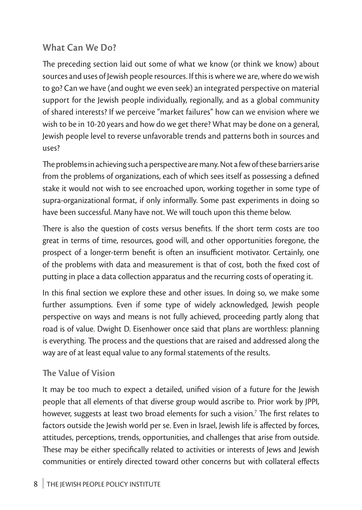# **What Can We Do?**

The preceding section laid out some of what we know (or think we know) about sources and uses of Jewish people resources. If this is where we are, where do we wish to go? Can we have (and ought we even seek) an integrated perspective on material support for the Jewish people individually, regionally, and as a global community of shared interests? If we perceive "market failures" how can we envision where we wish to be in 10-20 years and how do we get there? What may be done on a general, Jewish people level to reverse unfavorable trends and patterns both in sources and uses?

The problems in achieving such a perspective are many. Not a few of these barriers arise from the problems of organizations, each of which sees itself as possessing a defined stake it would not wish to see encroached upon, working together in some type of supra-organizational format, if only informally. Some past experiments in doing so have been successful. Many have not. We will touch upon this theme below.

There is also the question of costs versus benefits. If the short term costs are too great in terms of time, resources, good will, and other opportunities foregone, the prospect of a longer-term benefit is often an insufficient motivator. Certainly, one of the problems with data and measurement is that of cost, both the fixed cost of putting in place a data collection apparatus and the recurring costs of operating it.

In this final section we explore these and other issues. In doing so, we make some further assumptions. Even if some type of widely acknowledged, Jewish people perspective on ways and means is not fully achieved, proceeding partly along that road is of value. Dwight D. Eisenhower once said that plans are worthless: planning is everything. The process and the questions that are raised and addressed along the way are of at least equal value to any formal statements of the results.

#### **The Value of Vision**

It may be too much to expect a detailed, unified vision of a future for the Jewish people that all elements of that diverse group would ascribe to. Prior work by JPPI, however, suggests at least two broad elements for such a vision.<sup>7</sup> The first relates to factors outside the Jewish world per se. Even in Israel, Jewish life is affected by forces, attitudes, perceptions, trends, opportunities, and challenges that arise from outside. These may be either specifically related to activities or interests of Jews and Jewish communities or entirely directed toward other concerns but with collateral effects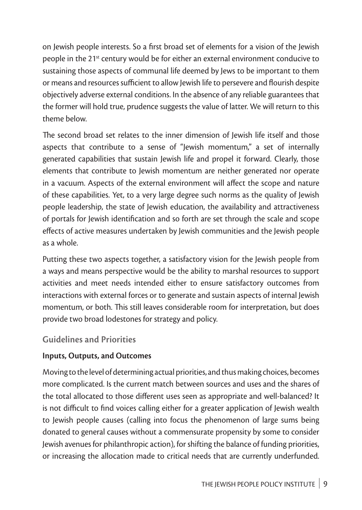on Jewish people interests. So a first broad set of elements for a vision of the Jewish people in the 21<sup>st</sup> century would be for either an external environment conducive to sustaining those aspects of communal life deemed by Jews to be important to them or means and resources sufficient to allow Jewish life to persevere and flourish despite objectively adverse external conditions. In the absence of any reliable guarantees that the former will hold true, prudence suggests the value of latter. We will return to this theme below.

The second broad set relates to the inner dimension of Jewish life itself and those aspects that contribute to a sense of "Jewish momentum," a set of internally generated capabilities that sustain Jewish life and propel it forward. Clearly, those elements that contribute to Jewish momentum are neither generated nor operate in a vacuum. Aspects of the external environment will affect the scope and nature of these capabilities. Yet, to a very large degree such norms as the quality of Jewish people leadership, the state of Jewish education, the availability and attractiveness of portals for Jewish identification and so forth are set through the scale and scope effects of active measures undertaken by Jewish communities and the Jewish people as a whole.

Putting these two aspects together, a satisfactory vision for the Jewish people from a ways and means perspective would be the ability to marshal resources to support activities and meet needs intended either to ensure satisfactory outcomes from interactions with external forces or to generate and sustain aspects of internal Jewish momentum, or both. This still leaves considerable room for interpretation, but does provide two broad lodestones for strategy and policy.

## **Guidelines and Priorities**

#### **Inputs, Outputs, and Outcomes**

Moving to the level of determining actual priorities, and thus making choices, becomes more complicated. Is the current match between sources and uses and the shares of the total allocated to those different uses seen as appropriate and well-balanced? It is not difficult to find voices calling either for a greater application of Jewish wealth to Jewish people causes (calling into focus the phenomenon of large sums being donated to general causes without a commensurate propensity by some to consider Jewish avenues for philanthropic action), for shifting the balance of funding priorities, or increasing the allocation made to critical needs that are currently underfunded.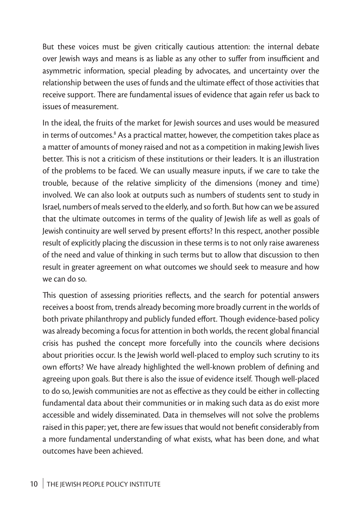But these voices must be given critically cautious attention: the internal debate over Jewish ways and means is as liable as any other to suffer from insufficient and asymmetric information, special pleading by advocates, and uncertainty over the relationship between the uses of funds and the ultimate effect of those activities that receive support. There are fundamental issues of evidence that again refer us back to issues of measurement.

In the ideal, the fruits of the market for Jewish sources and uses would be measured in terms of outcomes. $^{\text{\tiny 8}}$  As a practical matter, however, the competition takes place as a matter of amounts of money raised and not as a competition in making Jewish lives better. This is not a criticism of these institutions or their leaders. It is an illustration of the problems to be faced. We can usually measure inputs, if we care to take the trouble, because of the relative simplicity of the dimensions (money and time) involved. We can also look at outputs such as numbers of students sent to study in Israel, numbers of meals served to the elderly, and so forth. But how can we be assured that the ultimate outcomes in terms of the quality of Jewish life as well as goals of Jewish continuity are well served by present efforts? In this respect, another possible result of explicitly placing the discussion in these terms is to not only raise awareness of the need and value of thinking in such terms but to allow that discussion to then result in greater agreement on what outcomes we should seek to measure and how we can do so.

This question of assessing priorities reflects, and the search for potential answers receives a boost from, trends already becoming more broadly current in the worlds of both private philanthropy and publicly funded effort. Though evidence-based policy was already becoming a focus for attention in both worlds, the recent global financial crisis has pushed the concept more forcefully into the councils where decisions about priorities occur. Is the Jewish world well-placed to employ such scrutiny to its own efforts? We have already highlighted the well-known problem of defining and agreeing upon goals. But there is also the issue of evidence itself. Though well-placed to do so, Jewish communities are not as effective as they could be either in collecting fundamental data about their communities or in making such data as do exist more accessible and widely disseminated. Data in themselves will not solve the problems raised in this paper; yet, there are few issues that would not benefit considerably from a more fundamental understanding of what exists, what has been done, and what outcomes have been achieved.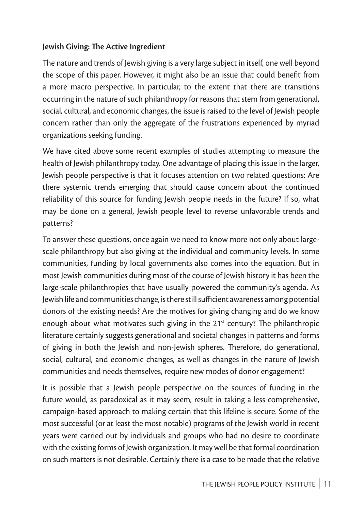#### **Jewish Giving: The Active Ingredient**

The nature and trends of Jewish giving is a very large subject in itself, one well beyond the scope of this paper. However, it might also be an issue that could benefit from a more macro perspective. In particular, to the extent that there are transitions occurring in the nature of such philanthropy for reasons that stem from generational, social, cultural, and economic changes, the issue is raised to the level of Jewish people concern rather than only the aggregate of the frustrations experienced by myriad organizations seeking funding.

We have cited above some recent examples of studies attempting to measure the health of Jewish philanthropy today. One advantage of placing this issue in the larger, Jewish people perspective is that it focuses attention on two related questions: Are there systemic trends emerging that should cause concern about the continued reliability of this source for funding Jewish people needs in the future? If so, what may be done on a general, Jewish people level to reverse unfavorable trends and patterns?

To answer these questions, once again we need to know more not only about largescale philanthropy but also giving at the individual and community levels. In some communities, funding by local governments also comes into the equation. But in most Jewish communities during most of the course of Jewish history it has been the large-scale philanthropies that have usually powered the community's agenda. As Jewish life and communities change, is there still sufficient awareness among potential donors of the existing needs? Are the motives for giving changing and do we know enough about what motivates such giving in the  $21<sup>st</sup>$  century? The philanthropic literature certainly suggests generational and societal changes in patterns and forms of giving in both the Jewish and non-Jewish spheres. Therefore, do generational, social, cultural, and economic changes, as well as changes in the nature of Jewish communities and needs themselves, require new modes of donor engagement?

It is possible that a Jewish people perspective on the sources of funding in the future would, as paradoxical as it may seem, result in taking a less comprehensive, campaign-based approach to making certain that this lifeline is secure. Some of the most successful (or at least the most notable) programs of the Jewish world in recent years were carried out by individuals and groups who had no desire to coordinate with the existing forms of Jewish organization. It may well be that formal coordination on such matters is not desirable. Certainly there is a case to be made that the relative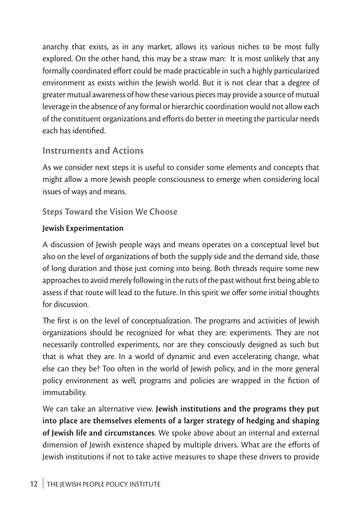anarchy that exists, as in any market, allows its various niches to be most fully explored. On the other hand, this may be a straw man: It is most unlikely that any formally coordinated effort could be made practicable in such a highly particularized environment as exists within the Jewish world. But it is not clear that a degree of greater mutual awareness of how these various pieces may provide a source of mutual leverage in the absence of any formal or hierarchic coordination would not allow each of the constituent organizations and efforts do better in meeting the particular needs each has identified.

# **Instruments and Actions**

As we consider next steps it is useful to consider some elements and concepts that might allow a more Jewish people consciousness to emerge when considering local issues of ways and means.

#### **Steps Toward the Vision We Choose**

#### **Jewish Experimentation**

A discussion of Jewish people ways and means operates on a conceptual level but also on the level of organizations of both the supply side and the demand side, those of long duration and those just coming into being. Both threads require some new approaches to avoid merely following in the ruts of the past without first being able to assess if that route will lead to the future. In this spirit we offer some initial thoughts for discussion.

The first is on the level of conceptualization. The programs and activities of Jewish organizations should be recognized for what they are: experiments. They are not necessarily controlled experiments, nor are they consciously designed as such but that is what they are. In a world of dynamic and even accelerating change, what else can they be? Too often in the world of Jewish policy, and in the more general policy environment as well, programs and policies are wrapped in the fiction of immutability.

We can take an alternative view. **Jewish institutions and the programs they put into place are themselves elements of a larger strategy of hedging and shaping of Jewish life and circumstances**. We spoke above about an internal and external dimension of Jewish existence shaped by multiple drivers. What are the efforts of Jewish institutions if not to take active measures to shape these drivers to provide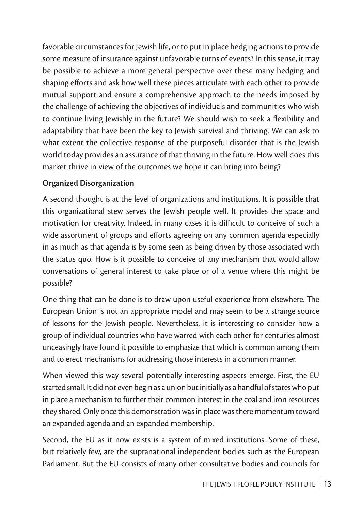favorable circumstances for Jewish life, or to put in place hedging actions to provide some measure of insurance against unfavorable turns of events? In this sense, it may be possible to achieve a more general perspective over these many hedging and shaping efforts and ask how well these pieces articulate with each other to provide mutual support and ensure a comprehensive approach to the needs imposed by the challenge of achieving the objectives of individuals and communities who wish to continue living Jewishly in the future? We should wish to seek a flexibility and adaptability that have been the key to Jewish survival and thriving. We can ask to what extent the collective response of the purposeful disorder that is the Jewish world today provides an assurance of that thriving in the future. How well does this market thrive in view of the outcomes we hope it can bring into being?

#### **Organized Disorganization**

A second thought is at the level of organizations and institutions. It is possible that this organizational stew serves the Jewish people well. It provides the space and motivation for creativity. Indeed, in many cases it is difficult to conceive of such a wide assortment of groups and efforts agreeing on any common agenda especially in as much as that agenda is by some seen as being driven by those associated with the status quo. How is it possible to conceive of any mechanism that would allow conversations of general interest to take place or of a venue where this might be possible?

One thing that can be done is to draw upon useful experience from elsewhere. The European Union is not an appropriate model and may seem to be a strange source of lessons for the Jewish people. Nevertheless, it is interesting to consider how a group of individual countries who have warred with each other for centuries almost unceasingly have found it possible to emphasize that which is common among them and to erect mechanisms for addressing those interests in a common manner.

When viewed this way several potentially interesting aspects emerge. First, the EU started small. It did not even begin as a union but initially as a handful of states who put in place a mechanism to further their common interest in the coal and iron resources they shared. Only once this demonstration was in place was there momentum toward an expanded agenda and an expanded membership.

Second, the EU as it now exists is a system of mixed institutions. Some of these, but relatively few, are the supranational independent bodies such as the European Parliament. But the EU consists of many other consultative bodies and councils for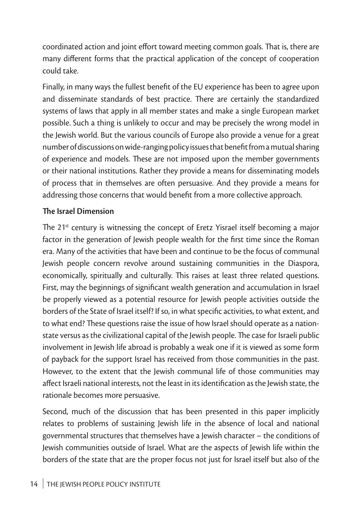coordinated action and joint effort toward meeting common goals. That is, there are many different forms that the practical application of the concept of cooperation could take.

Finally, in many ways the fullest benefit of the EU experience has been to agree upon and disseminate standards of best practice. There are certainly the standardized systems of laws that apply in all member states and make a single European market possible. Such a thing is unlikely to occur and may be precisely the wrong model in the Jewish world. But the various councils of Europe also provide a venue for a great number of discussions on wide-ranging policy issues that benefit from a mutual sharing of experience and models. These are not imposed upon the member governments or their national institutions. Rather they provide a means for disseminating models of process that in themselves are often persuasive. And they provide a means for addressing those concerns that would benefit from a more collective approach.

#### **The Israel Dimension**

The  $21<sup>st</sup>$  century is witnessing the concept of Eretz Yisrael itself becoming a major factor in the generation of Jewish people wealth for the first time since the Roman era. Many of the activities that have been and continue to be the focus of communal Jewish people concern revolve around sustaining communities in the Diaspora, economically, spiritually and culturally. This raises at least three related questions. First, may the beginnings of significant wealth generation and accumulation in Israel be properly viewed as a potential resource for Jewish people activities outside the borders of the State of Israel itself? If so, in what specific activities, to what extent, and to what end? These questions raise the issue of how Israel should operate as a nationstate versus as the civilizational capital of the Jewish people. The case for Israeli public involvement in Jewish life abroad is probably a weak one if it is viewed as some form of payback for the support Israel has received from those communities in the past. However, to the extent that the Jewish communal life of those communities may affect Israeli national interests, not the least in its identification as the Jewish state, the rationale becomes more persuasive.

Second, much of the discussion that has been presented in this paper implicitly relates to problems of sustaining Jewish life in the absence of local and national governmental structures that themselves have a Jewish character – the conditions of Jewish communities outside of Israel. What are the aspects of Jewish life within the borders of the state that are the proper focus not just for Israel itself but also of the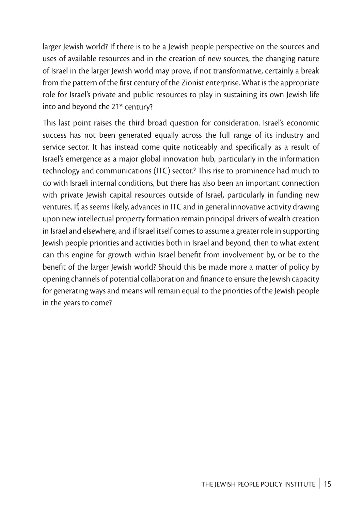larger Jewish world? If there is to be a Jewish people perspective on the sources and uses of available resources and in the creation of new sources, the changing nature of Israel in the larger Jewish world may prove, if not transformative, certainly a break from the pattern of the first century of the Zionist enterprise. What is the appropriate role for Israel's private and public resources to play in sustaining its own Jewish life into and beyond the 21<sup>st</sup> century?

This last point raises the third broad question for consideration. Israel's economic success has not been generated equally across the full range of its industry and service sector. It has instead come quite noticeably and specifically as a result of Israel's emergence as a major global innovation hub, particularly in the information technology and communications (ITC) sector.9 This rise to prominence had much to do with Israeli internal conditions, but there has also been an important connection with private Jewish capital resources outside of Israel, particularly in funding new ventures. If, as seems likely, advances in ITC and in general innovative activity drawing upon new intellectual property formation remain principal drivers of wealth creation in Israel and elsewhere, and if Israel itself comes to assume a greater role in supporting Jewish people priorities and activities both in Israel and beyond, then to what extent can this engine for growth within Israel benefit from involvement by, or be to the benefit of the larger Jewish world? Should this be made more a matter of policy by opening channels of potential collaboration and finance to ensure the Jewish capacity for generating ways and means will remain equal to the priorities of the Jewish people in the years to come?